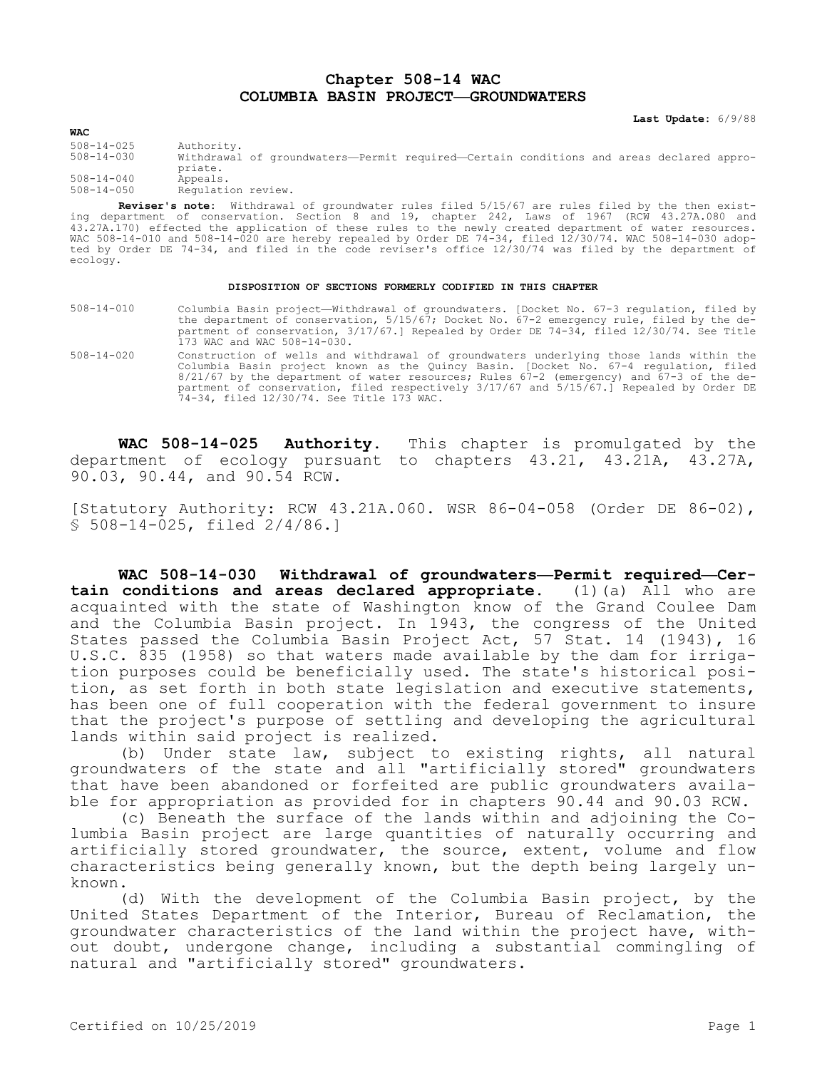## **Chapter 508-14 WAC COLUMBIA BASIN PROJECT—GROUNDWATERS**

**Last Update:** 6/9/88

**WAC** 508-14-025 Authority. Withdrawal of groundwaters—Permit required—Certain conditions and areas declared appropriate. 508-14-040 Appeals. Regulation review.

**Reviser's note:** Withdrawal of groundwater rules filed 5/15/67 are rules filed by the then existing department of conservation. Section 8 and 19, chapter 242, Laws of 1967 (RCW 43.27A.080 and 43.27A.170) effected the application of these rules to the newly created department of water resources. WAC 508-14-010 and 508-14-020 are hereby repealed by Order DE 74-34, filed 12/30/74. WAC 508-14-030 adopted by Order DE 74-34, and filed in the code reviser's office 12/30/74 was filed by the department of ecology.

## **DISPOSITION OF SECTIONS FORMERLY CODIFIED IN THIS CHAPTER**

- 508-14-010 Columbia Basin project—Withdrawal of groundwaters. [Docket No. 67-3 regulation, filed by the department of conservation, 5/15/67; Docket No. 67-2 emergency rule, filed by the department of conservation, 3/17/67.] Repealed by Order DE 74-34, filed 12/30/74. See Title 173 WAC and WAC 508-14-030.
- 508-14-020 Construction of wells and withdrawal of groundwaters underlying those lands within the Columbia Basin project known as the Quincy Basin. [Docket No. 67-4 regulation, filed 8/21/67 by the department of water resources; Rules 67-2 (emergency) and 67-3 of the department of conservation, filed respectively 3/17/67 and 5/15/67.] Repealed by Order DE 74-34, filed 12/30/74. See Title 173 WAC.

**WAC 508-14-025 Authority.** This chapter is promulgated by the department of ecology pursuant to chapters 43.21, 43.21A, 43.27A, 90.03, 90.44, and 90.54 RCW.

[Statutory Authority: RCW 43.21A.060. WSR 86-04-058 (Order DE 86-02), § 508-14-025, filed 2/4/86.]

**WAC 508-14-030 Withdrawal of groundwaters—Permit required—Certain conditions and areas declared appropriate.** (1)(a) All who are acquainted with the state of Washington know of the Grand Coulee Dam and the Columbia Basin project. In 1943, the congress of the United States passed the Columbia Basin Project Act, 57 Stat. 14 (1943), 16 U.S.C. 835 (1958) so that waters made available by the dam for irrigation purposes could be beneficially used. The state's historical position, as set forth in both state legislation and executive statements, has been one of full cooperation with the federal government to insure that the project's purpose of settling and developing the agricultural lands within said project is realized.

(b) Under state law, subject to existing rights, all natural groundwaters of the state and all "artificially stored" groundwaters that have been abandoned or forfeited are public groundwaters available for appropriation as provided for in chapters 90.44 and 90.03 RCW.

(c) Beneath the surface of the lands within and adjoining the Columbia Basin project are large quantities of naturally occurring and artificially stored groundwater, the source, extent, volume and flow characteristics being generally known, but the depth being largely unknown.

(d) With the development of the Columbia Basin project, by the United States Department of the Interior, Bureau of Reclamation, the groundwater characteristics of the land within the project have, without doubt, undergone change, including a substantial commingling of natural and "artificially stored" groundwaters.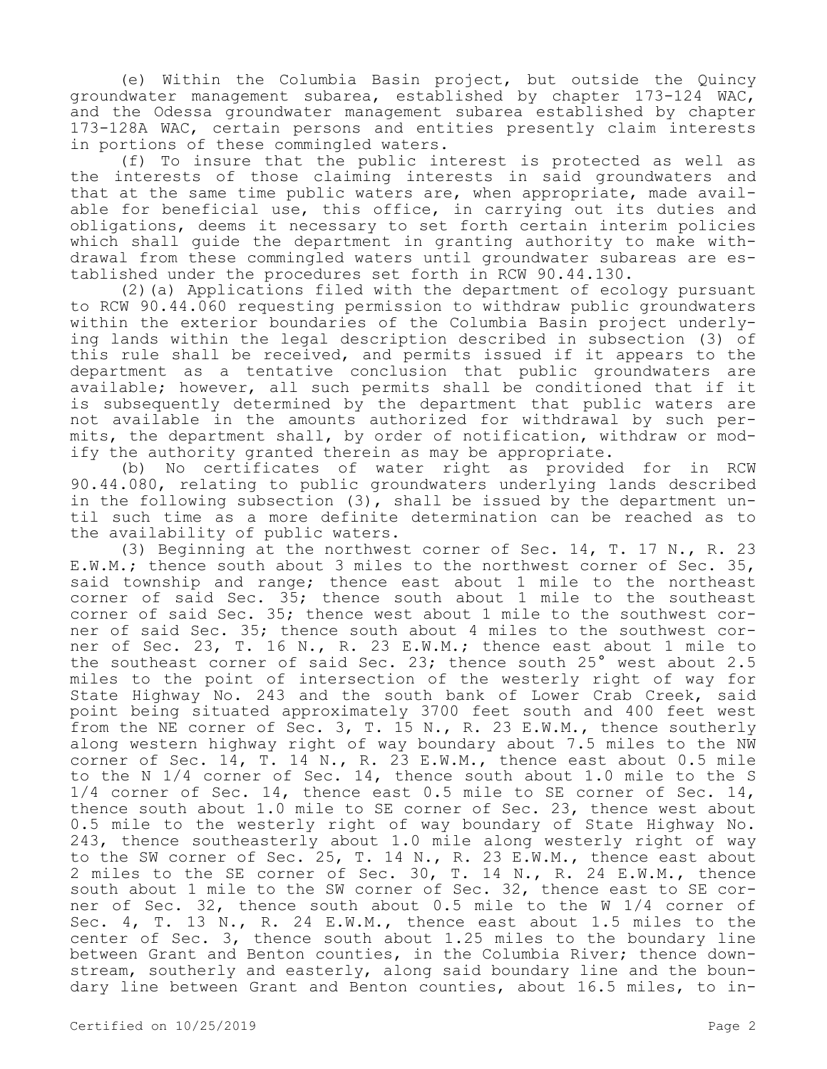(e) Within the Columbia Basin project, but outside the Quincy groundwater management subarea, established by chapter 173-124 WAC, and the Odessa groundwater management subarea established by chapter 173-128A WAC, certain persons and entities presently claim interests in portions of these commingled waters.

(f) To insure that the public interest is protected as well as the interests of those claiming interests in said groundwaters and that at the same time public waters are, when appropriate, made available for beneficial use, this office, in carrying out its duties and obligations, deems it necessary to set forth certain interim policies which shall guide the department in granting authority to make withdrawal from these commingled waters until groundwater subareas are established under the procedures set forth in RCW 90.44.130.

(2)(a) Applications filed with the department of ecology pursuant to RCW 90.44.060 requesting permission to withdraw public groundwaters within the exterior boundaries of the Columbia Basin project underlying lands within the legal description described in subsection (3) of this rule shall be received, and permits issued if it appears to the department as a tentative conclusion that public groundwaters are available; however, all such permits shall be conditioned that if it is subsequently determined by the department that public waters are not available in the amounts authorized for withdrawal by such permits, the department shall, by order of notification, withdraw or modify the authority granted therein as may be appropriate.

(b) No certificates of water right as provided for in RCW 90.44.080, relating to public groundwaters underlying lands described in the following subsection (3), shall be issued by the department until such time as a more definite determination can be reached as to the availability of public waters.

(3) Beginning at the northwest corner of Sec. 14, T. 17 N., R. 23 E.W.M.; thence south about 3 miles to the northwest corner of Sec. 35, said township and range; thence east about 1 mile to the northeast corner of said Sec. 35; thence south about 1 mile to the southeast corner of said Sec. 35; thence west about 1 mile to the southwest corner of said Sec. 35; thence south about 4 miles to the southwest corner of Sec. 23, T. 16 N., R. 23 E.W.M.; thence east about 1 mile to the southeast corner of said Sec. 23; thence south 25° west about 2.5 miles to the point of intersection of the westerly right of way for State Highway No. 243 and the south bank of Lower Crab Creek, said point being situated approximately 3700 feet south and 400 feet west from the NE corner of Sec. 3, T. 15 N., R. 23 E.W.M., thence southerly along western highway right of way boundary about 7.5 miles to the NW corner of Sec. 14, T. 14 N., R. 23 E.W.M., thence east about 0.5 mile to the N 1/4 corner of Sec. 14, thence south about 1.0 mile to the S 1/4 corner of Sec. 14, thence east 0.5 mile to SE corner of Sec. 14, thence south about 1.0 mile to SE corner of Sec. 23, thence west about 0.5 mile to the westerly right of way boundary of State Highway No. 243, thence southeasterly about 1.0 mile along westerly right of way to the SW corner of Sec. 25, T. 14 N., R. 23 E.W.M., thence east about 2 miles to the SE corner of Sec. 30, T. 14 N., R. 24 E.W.M., thence south about 1 mile to the SW corner of Sec. 32, thence east to SE corner of Sec. 32, thence south about 0.5 mile to the W 1/4 corner of Sec. 4, T. 13 N., R. 24 E.W.M., thence east about 1.5 miles to the center of Sec. 3, thence south about 1.25 miles to the boundary line between Grant and Benton counties, in the Columbia River; thence downstream, southerly and easterly, along said boundary line and the boundary line between Grant and Benton counties, about 16.5 miles, to in-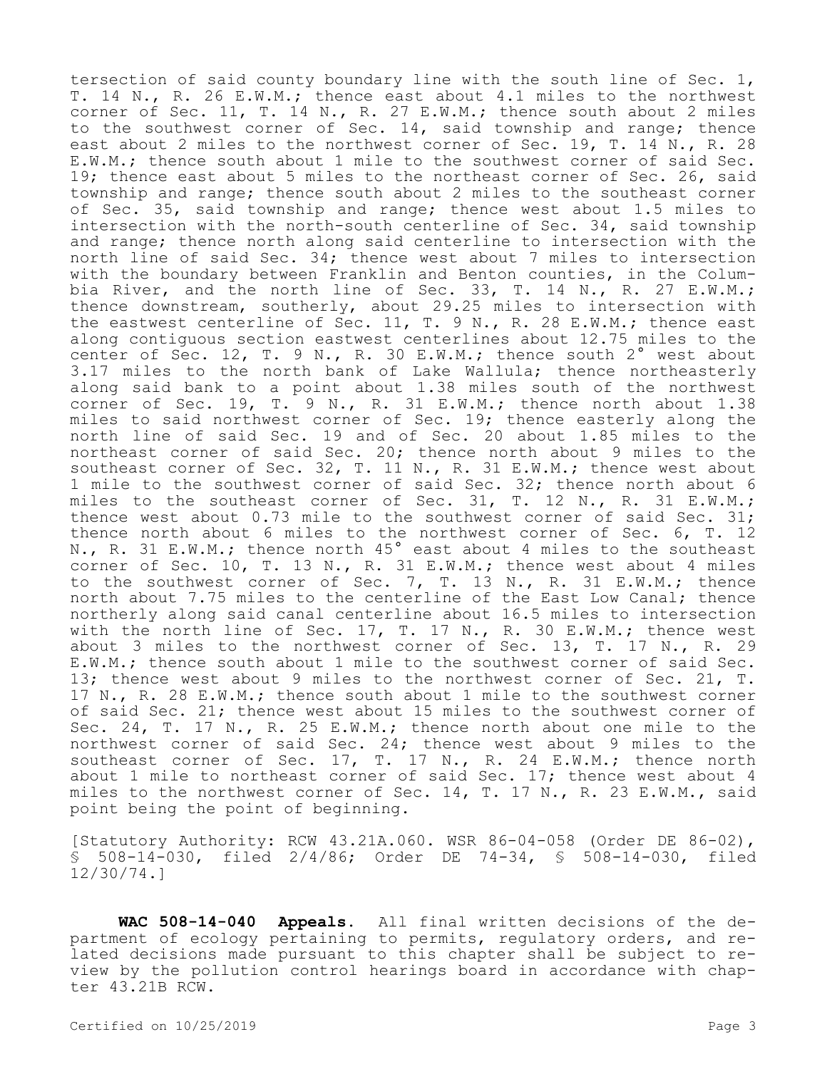tersection of said county boundary line with the south line of Sec. 1, T. 14 N., R. 26 E.W.M.; thence east about 4.1 miles to the northwest corner of Sec. 11, T. 14 N., R. 27 E.W.M.; thence south about 2 miles to the southwest corner of Sec. 14, said township and range; thence east about 2 miles to the northwest corner of Sec. 19, T. 14 N., R. 28 E.W.M.; thence south about 1 mile to the southwest corner of said Sec. 19; thence east about 5 miles to the northeast corner of Sec. 26, said township and range; thence south about 2 miles to the southeast corner of Sec. 35, said township and range; thence west about 1.5 miles to intersection with the north-south centerline of Sec. 34, said township and range; thence north along said centerline to intersection with the north line of said Sec. 34; thence west about 7 miles to intersection with the boundary between Franklin and Benton counties, in the Columbia River, and the north line of Sec. 33, T. 14 N., R. 27 E.W.M.; thence downstream, southerly, about 29.25 miles to intersection with the eastwest centerline of Sec. 11, T. 9 N., R. 28 E.W.M.; thence east along contiguous section eastwest centerlines about 12.75 miles to the center of Sec. 12, T. 9 N., R. 30 E.W.M.; thence south 2° west about 3.17 miles to the north bank of Lake Wallula; thence northeasterly along said bank to a point about 1.38 miles south of the northwest corner of Sec. 19, T. 9 N., R. 31 E.W.M.; thence north about 1.38 miles to said northwest corner of Sec. 19; thence easterly along the north line of said Sec. 19 and of Sec. 20 about 1.85 miles to the northeast corner of said Sec. 20; thence north about 9 miles to the southeast corner of Sec. 32, T. 11 N., R. 31 E.W.M.; thence west about 1 mile to the southwest corner of said Sec. 32; thence north about 6 miles to the southeast corner of Sec. 31, T. 12 N., R. 31 E.W.M.; thence west about 0.73 mile to the southwest corner of said Sec. 31; thence north about 6 miles to the northwest corner of Sec. 6, T. 12 N., R. 31 E.W.M.; thence north 45° east about 4 miles to the southeast corner of Sec. 10, T. 13 N., R. 31 E.W.M.; thence west about 4 miles to the southwest corner of Sec. 7, T. 13 N., R. 31 E.W.M.; thence north about 7.75 miles to the centerline of the East Low Canal; thence northerly along said canal centerline about 16.5 miles to intersection with the north line of Sec. 17, T. 17 N., R. 30 E.W.M.; thence west about 3 miles to the northwest corner of Sec. 13, T. 17 N., R. 29 E.W.M.; thence south about 1 mile to the southwest corner of said Sec. 13; thence west about 9 miles to the northwest corner of Sec. 21, T. 17 N., R. 28 E.W.M.; thence south about 1 mile to the southwest corner of said Sec. 21; thence west about 15 miles to the southwest corner of Sec. 24, T. 17 N., R. 25 E.W.M.; thence north about one mile to the northwest corner of said Sec. 24; thence west about 9 miles to the southeast corner of Sec. 17, T. 17 N., R. 24 E.W.M.; thence north about 1 mile to northeast corner of said Sec. 17; thence west about 4 miles to the northwest corner of Sec. 14, T. 17 N., R. 23 E.W.M., said point being the point of beginning.

[Statutory Authority: RCW 43.21A.060. WSR 86-04-058 (Order DE 86-02), § 508-14-030, filed 2/4/86; Order DE 74-34, § 508-14-030, filed 12/30/74.]

**WAC 508-14-040 Appeals.** All final written decisions of the department of ecology pertaining to permits, regulatory orders, and related decisions made pursuant to this chapter shall be subject to review by the pollution control hearings board in accordance with chapter 43.21B RCW.